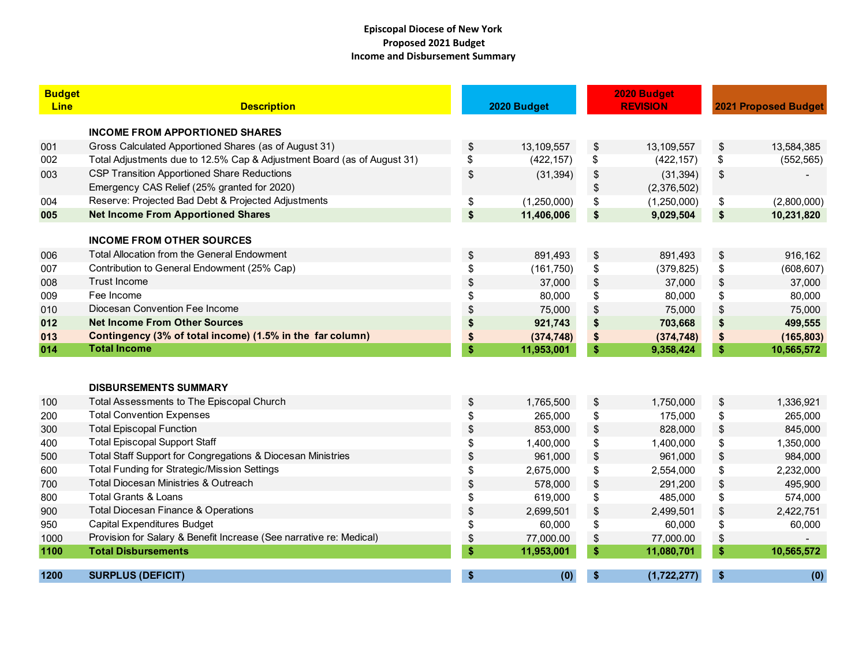## **Episcopal Diocese of New York Proposed 2021 Budget Income and Disbursement Summary**

| <b>Budget</b><br><b>Line</b> | <b>Description</b>                                                      | 2020 Budget       |                       | 2020 Budget<br><b>REVISION</b> |    | <b>2021 Proposed Budget</b> |  |
|------------------------------|-------------------------------------------------------------------------|-------------------|-----------------------|--------------------------------|----|-----------------------------|--|
|                              | <b>INCOME FROM APPORTIONED SHARES</b>                                   |                   |                       |                                |    |                             |  |
| 001                          | Gross Calculated Apportioned Shares (as of August 31)                   | \$<br>13,109,557  | \$                    | 13,109,557                     | \$ | 13,584,385                  |  |
| 002                          | Total Adjustments due to 12.5% Cap & Adjustment Board (as of August 31) | \$<br>(422, 157)  | \$                    | (422, 157)                     | \$ | (552, 565)                  |  |
| 003                          | <b>CSP Transition Apportioned Share Reductions</b>                      | \$<br>(31, 394)   | \$                    | (31, 394)                      | \$ |                             |  |
|                              | Emergency CAS Relief (25% granted for 2020)                             |                   | \$                    | (2,376,502)                    |    |                             |  |
| 004                          | Reserve: Projected Bad Debt & Projected Adjustments                     | \$<br>(1,250,000) | \$                    | (1,250,000)                    | \$ | (2,800,000)                 |  |
| 005                          | <b>Net Income From Apportioned Shares</b>                               | \$<br>11,406,006  | \$                    | 9,029,504                      | \$ | 10,231,820                  |  |
|                              | <b>INCOME FROM OTHER SOURCES</b>                                        |                   |                       |                                |    |                             |  |
| 006                          | <b>Total Allocation from the General Endowment</b>                      | \$<br>891,493     | \$                    | 891,493                        | \$ | 916,162                     |  |
| 007                          | Contribution to General Endowment (25% Cap)                             | \$<br>(161, 750)  | \$                    | (379, 825)                     | \$ | (608, 607)                  |  |
| 008                          | <b>Trust Income</b>                                                     | \$<br>37,000      | $\boldsymbol{\theta}$ | 37,000                         | \$ | 37,000                      |  |
| 009                          | Fee Income                                                              | \$<br>80,000      | \$                    | 80,000                         | \$ | 80,000                      |  |
| 010                          | Diocesan Convention Fee Income                                          | \$<br>75,000      | \$                    | 75,000                         | \$ | 75,000                      |  |
| 012                          | <b>Net Income From Other Sources</b>                                    | \$<br>921,743     | \$                    | 703,668                        | \$ | 499,555                     |  |
| 013                          | Contingency (3% of total income) (1.5% in the far column)               | \$<br>(374, 748)  | \$                    | (374, 748)                     | \$ | (165, 803)                  |  |
| 014                          | <b>Total Income</b>                                                     | \$<br>11,953,001  | \$                    | 9,358,424                      | \$ | 10,565,572                  |  |
|                              | <b>DISBURSEMENTS SUMMARY</b>                                            |                   |                       |                                |    |                             |  |
| 100                          | Total Assessments to The Episcopal Church                               | \$<br>1,765,500   | \$                    | 1,750,000                      | \$ | 1,336,921                   |  |
| 200                          | <b>Total Convention Expenses</b>                                        | \$<br>265,000     | \$                    | 175,000                        | \$ | 265,000                     |  |
| 300                          | <b>Total Episcopal Function</b>                                         | \$<br>853,000     | \$                    | 828,000                        | \$ | 845,000                     |  |
| 400                          | <b>Total Episcopal Support Staff</b>                                    | \$<br>1,400,000   | \$                    | 1,400,000                      | \$ | 1,350,000                   |  |
| 500                          | Total Staff Support for Congregations & Diocesan Ministries             | \$<br>961,000     | \$                    | 961,000                        | \$ | 984,000                     |  |
| 600                          | Total Funding for Strategic/Mission Settings                            | \$<br>2,675,000   | \$                    | 2,554,000                      | \$ | 2,232,000                   |  |
| 700                          | <b>Total Diocesan Ministries &amp; Outreach</b>                         | \$<br>578,000     | \$                    | 291,200                        | \$ | 495,900                     |  |
| 800                          | <b>Total Grants &amp; Loans</b>                                         | \$<br>619,000     | \$                    | 485,000                        | \$ | 574,000                     |  |
| 900                          | Total Diocesan Finance & Operations                                     | \$<br>2,699,501   | \$                    | 2,499,501                      | \$ | 2,422,751                   |  |
| 950                          | <b>Capital Expenditures Budget</b>                                      | \$<br>60,000      | \$                    | 60,000                         | \$ | 60,000                      |  |
| 1000                         | Provision for Salary & Benefit Increase (See narrative re: Medical)     | \$<br>77,000.00   | \$                    | 77,000.00                      | \$ |                             |  |
| 1100                         | <b>Total Disbursements</b>                                              | \$<br>11,953,001  | \$                    | 11,080,701                     | \$ | 10,565,572                  |  |
| 1200                         | <b>SURPLUS (DEFICIT)</b>                                                | \$<br>(0)         |                       | (1,722,277)                    | S  | (0)                         |  |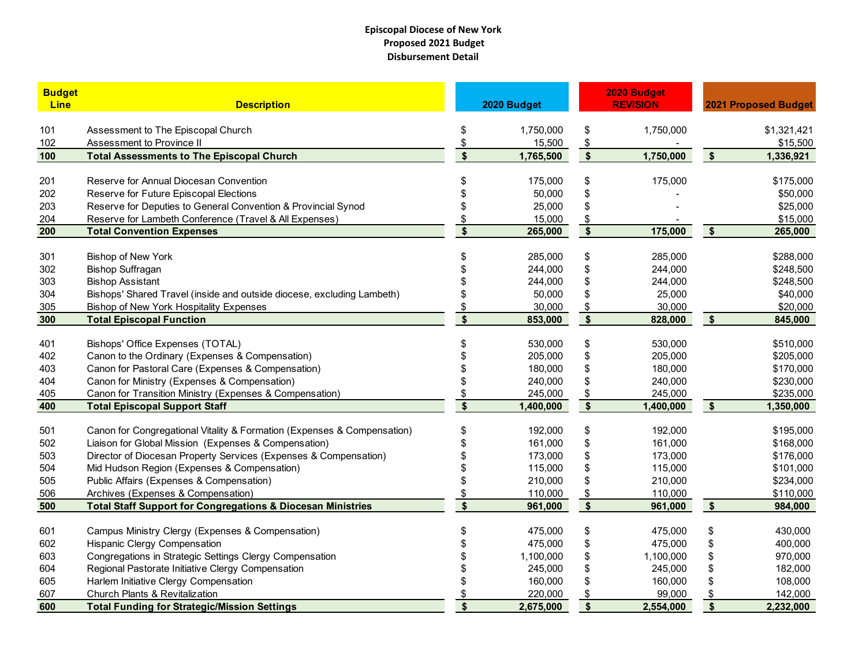## **Episcopal Diocese of New York Proposed 2021 Budget Disbursement Detail**

| <b>Budget</b><br><b>Line</b> | <b>Description</b>                                                                  | 2020 Budget               |           | 2020 Budget<br><b>REVISION</b> |           | <b>2021 Proposed Budget</b> |                        |
|------------------------------|-------------------------------------------------------------------------------------|---------------------------|-----------|--------------------------------|-----------|-----------------------------|------------------------|
|                              |                                                                                     |                           |           |                                |           |                             |                        |
| 101                          | Assessment to The Episcopal Church                                                  | \$                        | 1,750,000 | \$                             | 1,750,000 |                             | \$1,321,421            |
| 102                          | Assessment to Province II                                                           | \$                        | 15,500    | $\frac{1}{2}$                  |           |                             | \$15,500               |
| 100                          | <b>Total Assessments to The Episcopal Church</b>                                    | $\boldsymbol{\mathsf{s}}$ | 1,765,500 | $\overline{\phantom{a}}$       | 1,750,000 | $\sqrt{5}$                  | 1,336,921              |
| 201                          | Reserve for Annual Diocesan Convention                                              |                           | 175,000   | \$                             | 175,000   |                             | \$175,000              |
| 202                          | Reserve for Future Episcopal Elections                                              |                           | 50,000    | \$                             |           |                             | \$50,000               |
| 203                          | Reserve for Deputies to General Convention & Provincial Synod                       |                           | 25,000    | \$                             |           |                             | \$25,000               |
| 204                          | Reserve for Lambeth Conference (Travel & All Expenses)                              |                           | 15,000    | $\frac{1}{2}$                  |           |                             | \$15,000               |
| 200                          | <b>Total Convention Expenses</b>                                                    | \$                        | 265,000   | $\overline{\phantom{a}}$       | 175,000   | $\sqrt{5}$                  | 265,000                |
| 301                          | Bishop of New York                                                                  |                           | 285,000   | \$                             | 285,000   |                             | \$288,000              |
| 302                          | <b>Bishop Suffragan</b>                                                             |                           | 244,000   | \$                             | 244,000   |                             | \$248,500              |
| 303                          | <b>Bishop Assistant</b>                                                             |                           | 244,000   | \$                             | 244,000   |                             | \$248,500              |
| 304                          | Bishops' Shared Travel (inside and outside diocese, excluding Lambeth)              |                           | 50,000    | \$                             | 25,000    |                             | \$40,000               |
| 305                          | Bishop of New York Hospitality Expenses                                             |                           | 30,000    | \$                             | 30,000    |                             | \$20,000               |
| 300                          | <b>Total Episcopal Function</b>                                                     | $\overline{\mathbf{s}}$   | 853,000   | $\overline{\bullet}$           | 828,000   | $\sqrt{5}$                  | 845,000                |
|                              |                                                                                     |                           | 530,000   |                                | 530,000   |                             |                        |
| 401                          | Bishops' Office Expenses (TOTAL)<br>Canon to the Ordinary (Expenses & Compensation) |                           | 205,000   | \$                             | 205,000   |                             | \$510,000<br>\$205,000 |
| 402<br>403                   | Canon for Pastoral Care (Expenses & Compensation)                                   |                           | 180,000   | \$<br>\$                       | 180,000   |                             | \$170,000              |
| 404                          | Canon for Ministry (Expenses & Compensation)                                        |                           | 240,000   | \$                             | 240,000   |                             | \$230,000              |
| 405                          | Canon for Transition Ministry (Expenses & Compensation)                             | \$                        | 245,000   | \$                             | 245,000   |                             | \$235,000              |
| 400                          | <b>Total Episcopal Support Staff</b>                                                | $\overline{\mathbf{s}}$   | 1,400,000 | $\overline{\bullet}$           | 1,400,000 | $\sqrt{5}$                  | 1,350,000              |
|                              |                                                                                     |                           |           |                                |           |                             |                        |
| 501                          | Canon for Congregational Vitality & Formation (Expenses & Compensation)             |                           | 192,000   | \$                             | 192,000   |                             | \$195,000              |
| 502                          | Liaison for Global Mission (Expenses & Compensation)                                |                           | 161,000   | \$                             | 161,000   |                             | \$168,000              |
| 503                          | Director of Diocesan Property Services (Expenses & Compensation)                    |                           | 173,000   | \$                             | 173,000   |                             | \$176,000              |
| 504                          | Mid Hudson Region (Expenses & Compensation)                                         |                           | 115,000   | \$                             | 115,000   |                             | \$101,000              |
| 505                          | Public Affairs (Expenses & Compensation)                                            |                           | 210,000   | \$                             | 210,000   |                             | \$234,000              |
| 506                          | Archives (Expenses & Compensation)                                                  |                           | 110,000   | \$                             | 110,000   |                             | \$110,000              |
| 500                          | <b>Total Staff Support for Congregations &amp; Diocesan Ministries</b>              | $\mathbf{s}$              | 961,000   | $\overline{\bullet}$           | 961,000   | $\sqrt{5}$                  | 984,000                |
| 601                          | Campus Ministry Clergy (Expenses & Compensation)                                    |                           | 475,000   | \$                             | 475,000   | \$                          | 430,000                |
| 602                          | Hispanic Clergy Compensation                                                        |                           | 475,000   | \$                             | 475,000   | \$                          | 400,000                |
| 603                          | Congregations in Strategic Settings Clergy Compensation                             |                           | 1,100,000 | \$                             | 1,100,000 | \$                          | 970,000                |
| 604                          | Regional Pastorate Initiative Clergy Compensation                                   |                           | 245,000   | \$                             | 245,000   | \$                          | 182,000                |
| 605                          | Harlem Initiative Clergy Compensation                                               |                           | 160,000   | \$                             | 160,000   | \$                          | 108,000                |
| 607                          | Church Plants & Revitalization                                                      |                           | 220,000   | \$                             | 99,000    | \$                          | 142,000                |
| 600                          | <b>Total Funding for Strategic/Mission Settings</b>                                 | $\overline{\mathbf{s}}$   | 2,675,000 | $\overline{\mathbf{s}}$        | 2,554,000 | $\overline{\mathbf{s}}$     | 2,232,000              |